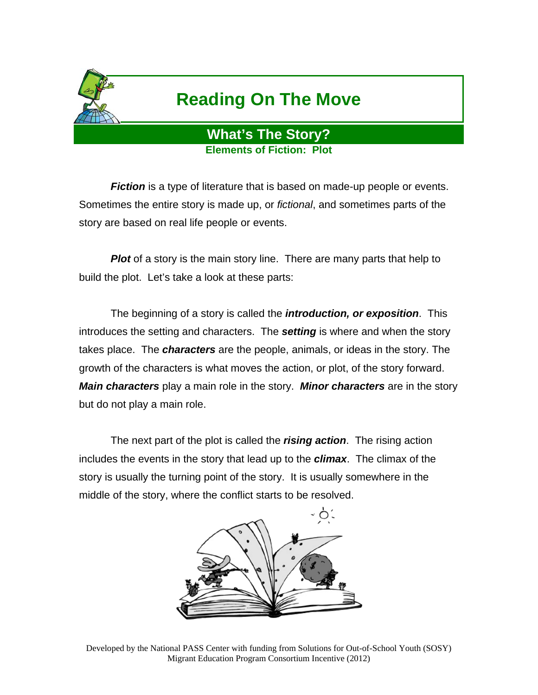

## **Reading On The Move**

## **What's The Story? Elements of Fiction: Plot**

*Fiction* is a type of literature that is based on made-up people or events. Sometimes the entire story is made up, or *fictional*, and sometimes parts of the story are based on real life people or events.

**Plot** of a story is the main story line. There are many parts that help to build the plot. Let's take a look at these parts:

 The beginning of a story is called the *introduction, or exposition*. This introduces the setting and characters. The *setting* is where and when the story takes place. The *characters* are the people, animals, or ideas in the story. The growth of the characters is what moves the action, or plot, of the story forward. *Main characters* play a main role in the story. *Minor characters* are in the story but do not play a main role.

 The next part of the plot is called the *rising action*. The rising action includes the events in the story that lead up to the *climax*. The climax of the story is usually the turning point of the story. It is usually somewhere in the middle of the story, where the conflict starts to be resolved.



Developed by the National PASS Center with funding from Solutions for Out-of-School Youth (SOSY) Migrant Education Program Consortium Incentive (2012)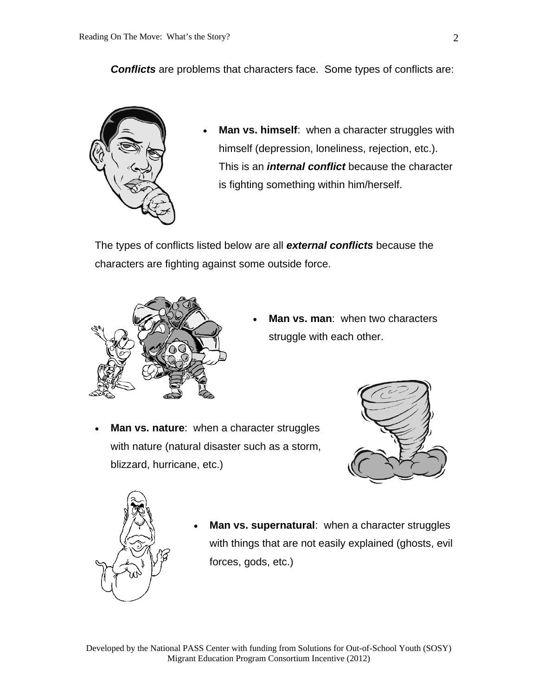**Conflicts** are problems that characters face. Some types of conflicts are:



 **Man vs. himself**: when a character struggles with himself (depression, loneliness, rejection, etc.). This is an *internal conflict* because the character is fighting something within him/herself.

The types of conflicts listed below are all *external conflicts* because the characters are fighting against some outside force.



 **Man vs. man**: when two characters struggle with each other.

**Man vs. nature:** when a character struggles with nature (natural disaster such as a storm, blizzard, hurricane, etc.)





 **Man vs. supernatural**: when a character struggles with things that are not easily explained (ghosts, evil forces, gods, etc.)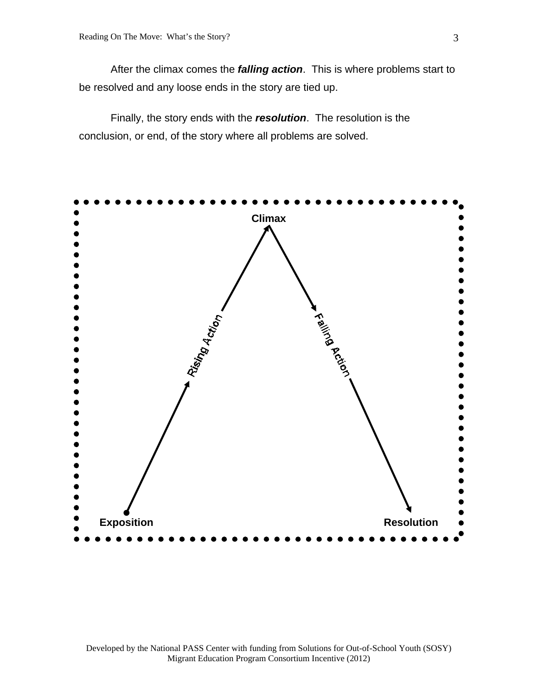After the climax comes the *falling action*. This is where problems start to be resolved and any loose ends in the story are tied up.

 Finally, the story ends with the *resolution*. The resolution is the conclusion, or end, of the story where all problems are solved.

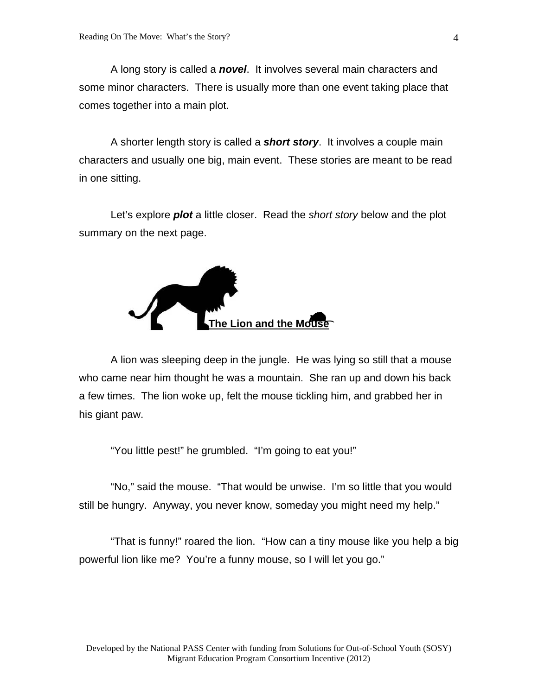A long story is called a *novel*. It involves several main characters and some minor characters. There is usually more than one event taking place that comes together into a main plot.

 A shorter length story is called a *short story*. It involves a couple main characters and usually one big, main event. These stories are meant to be read in one sitting.

 Let's explore *plot* a little closer. Read the *short story* below and the plot summary on the next page.



A lion was sleeping deep in the jungle. He was lying so still that a mouse who came near him thought he was a mountain. She ran up and down his back a few times. The lion woke up, felt the mouse tickling him, and grabbed her in his giant paw.

"You little pest!" he grumbled. "I'm going to eat you!"

 "No," said the mouse. "That would be unwise. I'm so little that you would still be hungry. Anyway, you never know, someday you might need my help."

 "That is funny!" roared the lion. "How can a tiny mouse like you help a big powerful lion like me? You're a funny mouse, so I will let you go."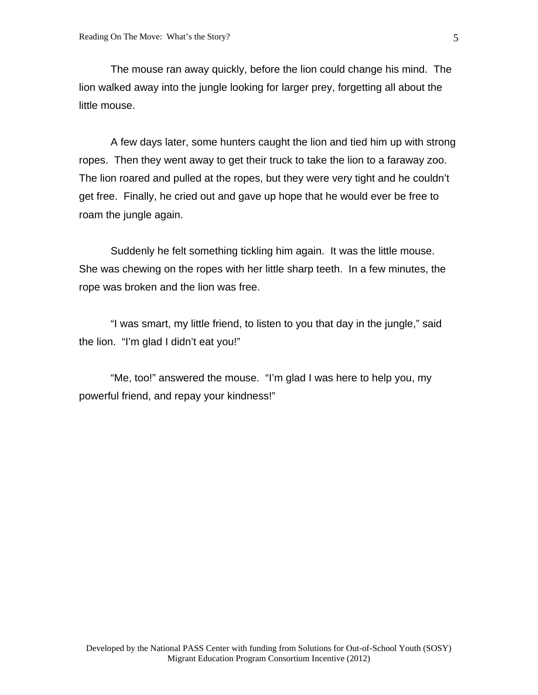The mouse ran away quickly, before the lion could change his mind. The lion walked away into the jungle looking for larger prey, forgetting all about the little mouse.

 A few days later, some hunters caught the lion and tied him up with strong ropes. Then they went away to get their truck to take the lion to a faraway zoo. The lion roared and pulled at the ropes, but they were very tight and he couldn't get free. Finally, he cried out and gave up hope that he would ever be free to roam the jungle again.

 Suddenly he felt something tickling him again. It was the little mouse. She was chewing on the ropes with her little sharp teeth. In a few minutes, the rope was broken and the lion was free.

 "I was smart, my little friend, to listen to you that day in the jungle," said the lion. "I'm glad I didn't eat you!"

 "Me, too!" answered the mouse. "I'm glad I was here to help you, my powerful friend, and repay your kindness!"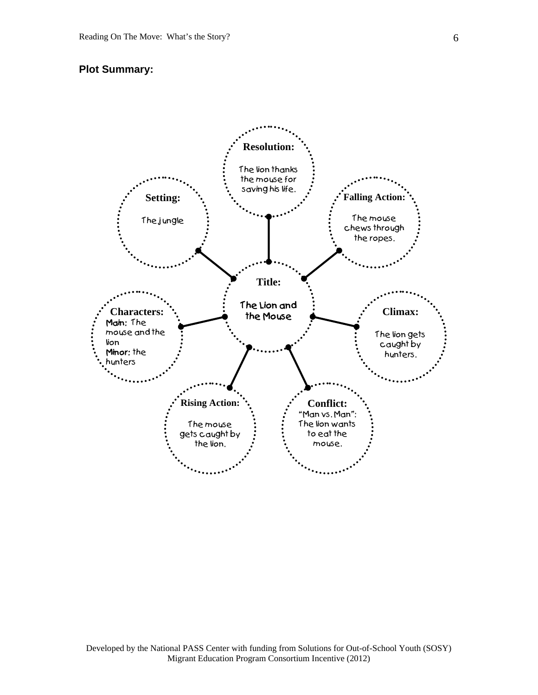## **Plot Summary:**



Developed by the National PASS Center with funding from Solutions for Out-of-School Youth (SOSY) Migrant Education Program Consortium Incentive (2012)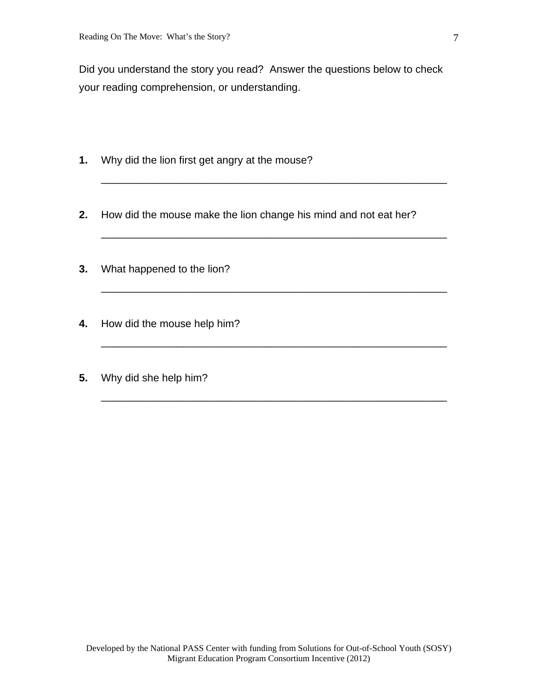Did you understand the story you read? Answer the questions below to check your reading comprehension, or understanding.

\_\_\_\_\_\_\_\_\_\_\_\_\_\_\_\_\_\_\_\_\_\_\_\_\_\_\_\_\_\_\_\_\_\_\_\_\_\_\_\_\_\_\_\_\_\_\_\_\_\_\_\_\_\_\_\_\_\_\_

\_\_\_\_\_\_\_\_\_\_\_\_\_\_\_\_\_\_\_\_\_\_\_\_\_\_\_\_\_\_\_\_\_\_\_\_\_\_\_\_\_\_\_\_\_\_\_\_\_\_\_\_\_\_\_\_\_\_\_

\_\_\_\_\_\_\_\_\_\_\_\_\_\_\_\_\_\_\_\_\_\_\_\_\_\_\_\_\_\_\_\_\_\_\_\_\_\_\_\_\_\_\_\_\_\_\_\_\_\_\_\_\_\_\_\_\_\_\_

\_\_\_\_\_\_\_\_\_\_\_\_\_\_\_\_\_\_\_\_\_\_\_\_\_\_\_\_\_\_\_\_\_\_\_\_\_\_\_\_\_\_\_\_\_\_\_\_\_\_\_\_\_\_\_\_\_\_\_

\_\_\_\_\_\_\_\_\_\_\_\_\_\_\_\_\_\_\_\_\_\_\_\_\_\_\_\_\_\_\_\_\_\_\_\_\_\_\_\_\_\_\_\_\_\_\_\_\_\_\_\_\_\_\_\_\_\_\_

- **1.** Why did the lion first get angry at the mouse?
- **2.** How did the mouse make the lion change his mind and not eat her?
- **3.** What happened to the lion?
- **4.** How did the mouse help him?
- **5.** Why did she help him?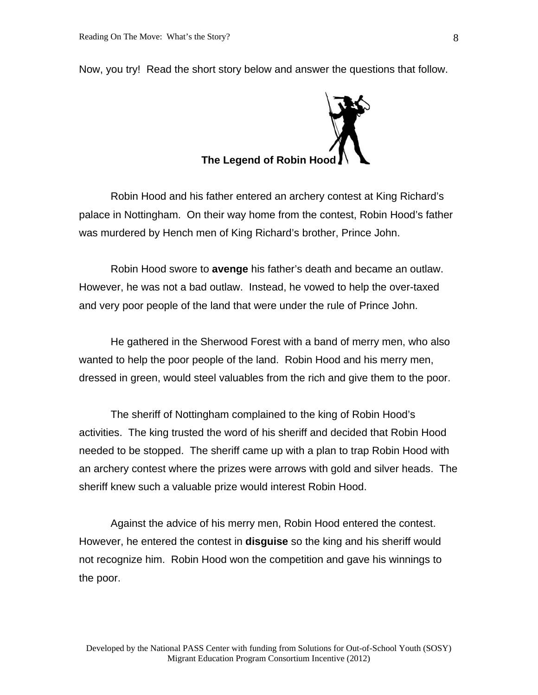**The Legend of Robin Hood** 

Now, you try! Read the short story below and answer the questions that follow.

 Robin Hood and his father entered an archery contest at King Richard's palace in Nottingham. On their way home from the contest, Robin Hood's father was murdered by Hench men of King Richard's brother, Prince John.

 Robin Hood swore to **avenge** his father's death and became an outlaw. However, he was not a bad outlaw. Instead, he vowed to help the over-taxed and very poor people of the land that were under the rule of Prince John.

 He gathered in the Sherwood Forest with a band of merry men, who also wanted to help the poor people of the land. Robin Hood and his merry men, dressed in green, would steel valuables from the rich and give them to the poor.

 The sheriff of Nottingham complained to the king of Robin Hood's activities. The king trusted the word of his sheriff and decided that Robin Hood needed to be stopped. The sheriff came up with a plan to trap Robin Hood with an archery contest where the prizes were arrows with gold and silver heads. The sheriff knew such a valuable prize would interest Robin Hood.

 Against the advice of his merry men, Robin Hood entered the contest. However, he entered the contest in **disguise** so the king and his sheriff would not recognize him. Robin Hood won the competition and gave his winnings to the poor.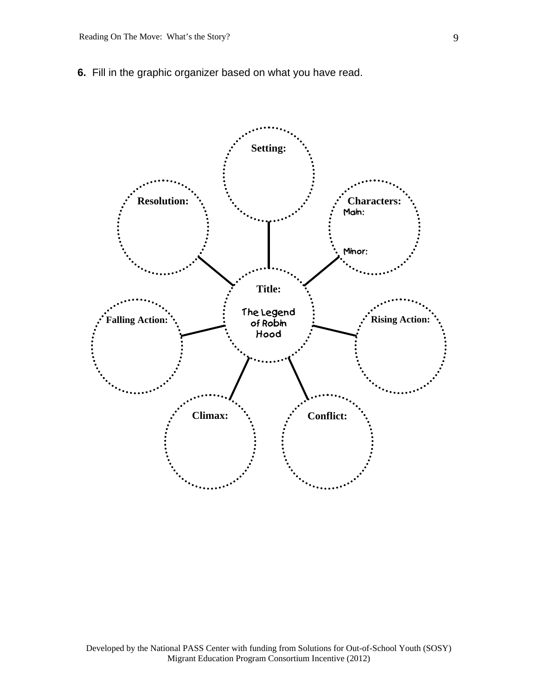**6.** Fill in the graphic organizer based on what you have read.

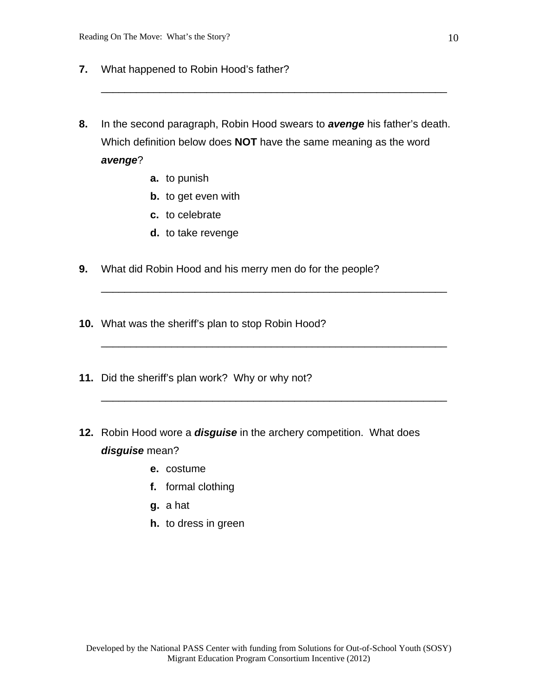- **7.** What happened to Robin Hood's father?
- **8.** In the second paragraph, Robin Hood swears to *avenge* his father's death. Which definition below does **NOT** have the same meaning as the word *avenge*?

\_\_\_\_\_\_\_\_\_\_\_\_\_\_\_\_\_\_\_\_\_\_\_\_\_\_\_\_\_\_\_\_\_\_\_\_\_\_\_\_\_\_\_\_\_\_\_\_\_\_\_\_\_\_\_\_\_\_\_

\_\_\_\_\_\_\_\_\_\_\_\_\_\_\_\_\_\_\_\_\_\_\_\_\_\_\_\_\_\_\_\_\_\_\_\_\_\_\_\_\_\_\_\_\_\_\_\_\_\_\_\_\_\_\_\_\_\_\_

\_\_\_\_\_\_\_\_\_\_\_\_\_\_\_\_\_\_\_\_\_\_\_\_\_\_\_\_\_\_\_\_\_\_\_\_\_\_\_\_\_\_\_\_\_\_\_\_\_\_\_\_\_\_\_\_\_\_\_

\_\_\_\_\_\_\_\_\_\_\_\_\_\_\_\_\_\_\_\_\_\_\_\_\_\_\_\_\_\_\_\_\_\_\_\_\_\_\_\_\_\_\_\_\_\_\_\_\_\_\_\_\_\_\_\_\_\_\_

- **a.** to punish
- **b.** to get even with
- **c.** to celebrate
- **d.** to take revenge
- **9.** What did Robin Hood and his merry men do for the people?
- **10.** What was the sheriff's plan to stop Robin Hood?
- **11.** Did the sheriff's plan work? Why or why not?
- **12.** Robin Hood wore a *disguise* in the archery competition. What does *disguise* mean?
	- **e.** costume
	- **f.** formal clothing
	- **g.** a hat
	- **h.** to dress in green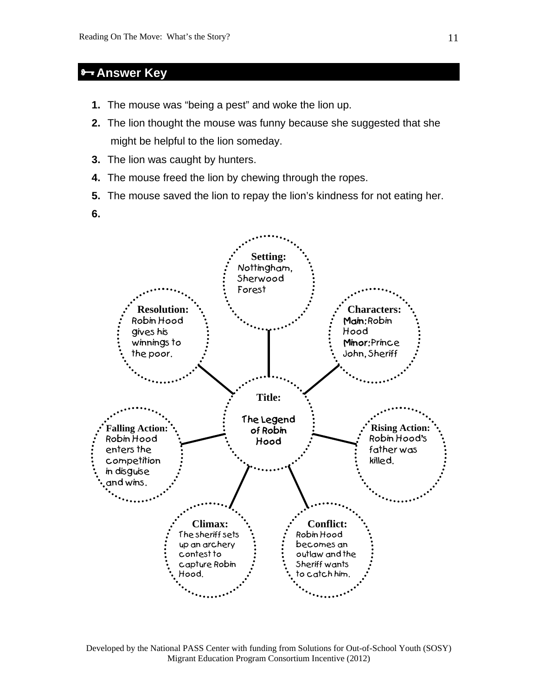## **Answer Key**

- **1.** The mouse was "being a pest" and woke the lion up.
- **2.** The lion thought the mouse was funny because she suggested that she might be helpful to the lion someday.
- **3.** The lion was caught by hunters.
- **4.** The mouse freed the lion by chewing through the ropes.
- **5.** The mouse saved the lion to repay the lion's kindness for not eating her.
- **6.**



Developed by the National PASS Center with funding from Solutions for Out-of-School Youth (SOSY) Migrant Education Program Consortium Incentive (2012)